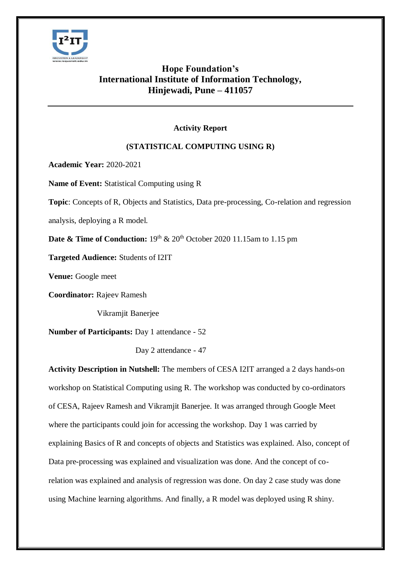

## **Hope Foundation's International Institute of Information Technology, Hinjewadi, Pune – 411057**

## **Activity Report**

## **(STATISTICAL COMPUTING USING R)**

**Academic Year:** 2020-2021

**Name of Event:** Statistical Computing using R

**Topic**: Concepts of R, Objects and Statistics, Data pre-processing, Co-relation and regression

analysis, deploying a R model.

**Date & Time of Conduction:**  $19<sup>th</sup>$  &  $20<sup>th</sup>$  October 2020 11.15am to 1.15 pm

**Targeted Audience:** Students of I2IT

**Venue:** Google meet

**Coordinator:** Rajeev Ramesh

Vikramjit Banerjee

**Number of Participants:** Day 1 attendance - 52

Day 2 attendance - 47

**Activity Description in Nutshell:** The members of CESA I2IT arranged a 2 days hands-on workshop on Statistical Computing using R. The workshop was conducted by co-ordinators of CESA, Rajeev Ramesh and Vikramjit Banerjee. It was arranged through Google Meet where the participants could join for accessing the workshop. Day 1 was carried by explaining Basics of R and concepts of objects and Statistics was explained. Also, concept of Data pre-processing was explained and visualization was done. And the concept of corelation was explained and analysis of regression was done. On day 2 case study was done using Machine learning algorithms. And finally, a R model was deployed using R shiny.